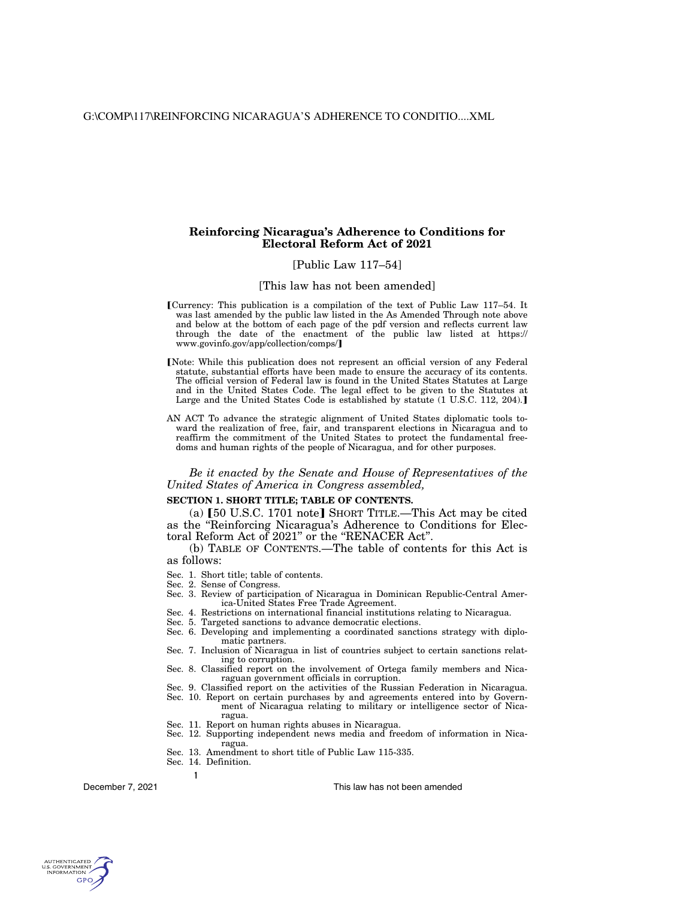# **Reinforcing Nicaragua's Adherence to Conditions for Electoral Reform Act of 2021**

# [Public Law 117–54]

## [This law has not been amended]

- øCurrency: This publication is a compilation of the text of Public Law 117–54. It was last amended by the public law listed in the As Amended Through note above and below at the bottom of each page of the pdf version and reflects current law through the date of the enactment of the public law listed at https:// www.govinfo.gov/app/collection/comps/]
- [Note: While this publication does not represent an official version of any Federal statute, substantial efforts have been made to ensure the accuracy of its contents. The official version of Federal law is found in the United States Statutes at Large and in the United States Code. The legal effect to be given to the Statutes at Large and the United States Code is established by statute (1 U.S.C. 112, 204).]
- AN ACT To advance the strategic alignment of United States diplomatic tools toward the realization of free, fair, and transparent elections in Nicaragua and to reaffirm the commitment of the United States to protect the fundamental freedoms and human rights of the people of Nicaragua, and for other purposes.

*Be it enacted by the Senate and House of Representatives of the United States of America in Congress assembled,* 

# **SECTION 1. SHORT TITLE; TABLE OF CONTENTS.**

(a)  $[50 \text{ U.S.C. } 1701 \text{ note}]$  Short Title.—This Act may be cited as the ''Reinforcing Nicaragua's Adherence to Conditions for Electoral Reform Act of 2021" or the "RENACER Act".

(b) TABLE OF CONTENTS.—The table of contents for this Act is as follows:

- Sec. 1. Short title; table of contents.
- Sec. 2. Sense of Congress.
- Sec. 3. Review of participation of Nicaragua in Dominican Republic-Central America-United States Free Trade Agreement.
- Sec. 4. Restrictions on international financial institutions relating to Nicaragua.
- Sec. 5. Targeted sanctions to advance democratic elections.
- Sec. 6. Developing and implementing a coordinated sanctions strategy with diplomatic partners.
- Sec. 7. Inclusion of Nicaragua in list of countries subject to certain sanctions relating to corruption.
- Sec. 8. Classified report on the involvement of Ortega family members and Nicaraguan government officials in corruption.
- Sec. 9. Classified report on the activities of the Russian Federation in Nicaragua.
- Sec. 10. Report on certain purchases by and agreements entered into by Government of Nicaragua relating to military or intelligence sector of Nicaragua.
- Sec. 11. Report on human rights abuses in Nicaragua.
- Sec. 12. Supporting independent news media and freedom of information in Nicaragua.
- Sec. 13. Amendment to short title of Public Law 115-335.
- Sec. 14. Definition.

**1** 

December 7, 2021

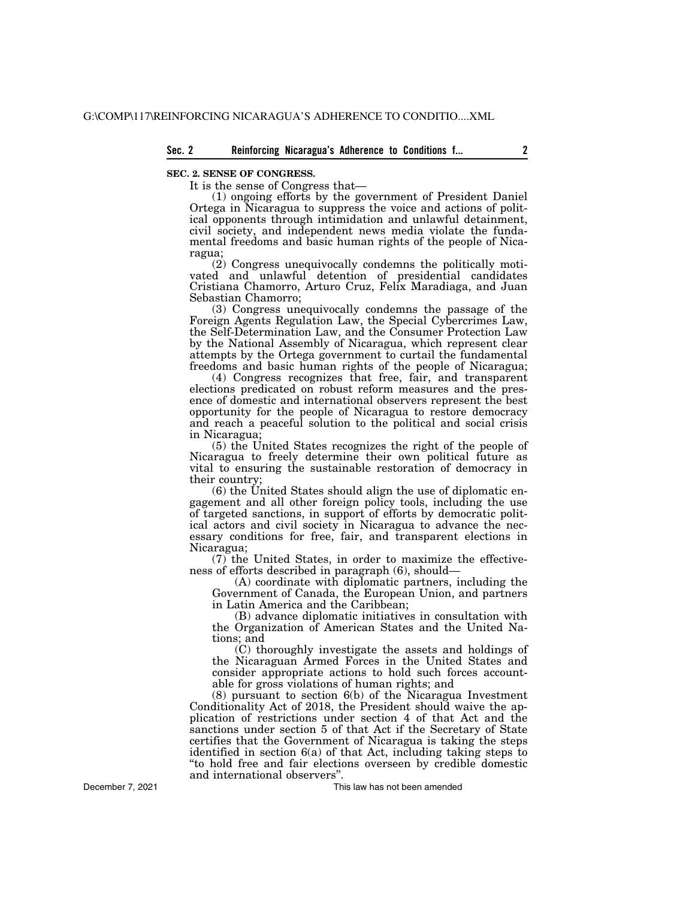## **SEC. 2. SENSE OF CONGRESS.**

It is the sense of Congress that—

(1) ongoing efforts by the government of President Daniel Ortega in Nicaragua to suppress the voice and actions of political opponents through intimidation and unlawful detainment, civil society, and independent news media violate the fundamental freedoms and basic human rights of the people of Nicaragua;

(2) Congress unequivocally condemns the politically motivated and unlawful detention of presidential candidates Cristiana Chamorro, Arturo Cruz, Felix Maradiaga, and Juan Sebastian Chamorro;

(3) Congress unequivocally condemns the passage of the Foreign Agents Regulation Law, the Special Cybercrimes Law, the Self-Determination Law, and the Consumer Protection Law by the National Assembly of Nicaragua, which represent clear attempts by the Ortega government to curtail the fundamental freedoms and basic human rights of the people of Nicaragua;

(4) Congress recognizes that free, fair, and transparent elections predicated on robust reform measures and the presence of domestic and international observers represent the best opportunity for the people of Nicaragua to restore democracy and reach a peaceful solution to the political and social crisis in Nicaragua;

(5) the United States recognizes the right of the people of Nicaragua to freely determine their own political future as vital to ensuring the sustainable restoration of democracy in their country;

(6) the United States should align the use of diplomatic engagement and all other foreign policy tools, including the use of targeted sanctions, in support of efforts by democratic political actors and civil society in Nicaragua to advance the necessary conditions for free, fair, and transparent elections in Nicaragua;

(7) the United States, in order to maximize the effectiveness of efforts described in paragraph (6), should—

(A) coordinate with diplomatic partners, including the Government of Canada, the European Union, and partners in Latin America and the Caribbean;

(B) advance diplomatic initiatives in consultation with the Organization of American States and the United Nations; and

(C) thoroughly investigate the assets and holdings of the Nicaraguan Armed Forces in the United States and consider appropriate actions to hold such forces accountable for gross violations of human rights; and

(8) pursuant to section 6(b) of the Nicaragua Investment Conditionality Act of 2018, the President should waive the application of restrictions under section 4 of that Act and the sanctions under section 5 of that Act if the Secretary of State certifies that the Government of Nicaragua is taking the steps identified in section 6(a) of that Act, including taking steps to ''to hold free and fair elections overseen by credible domestic and international observers''.

This law has not been amended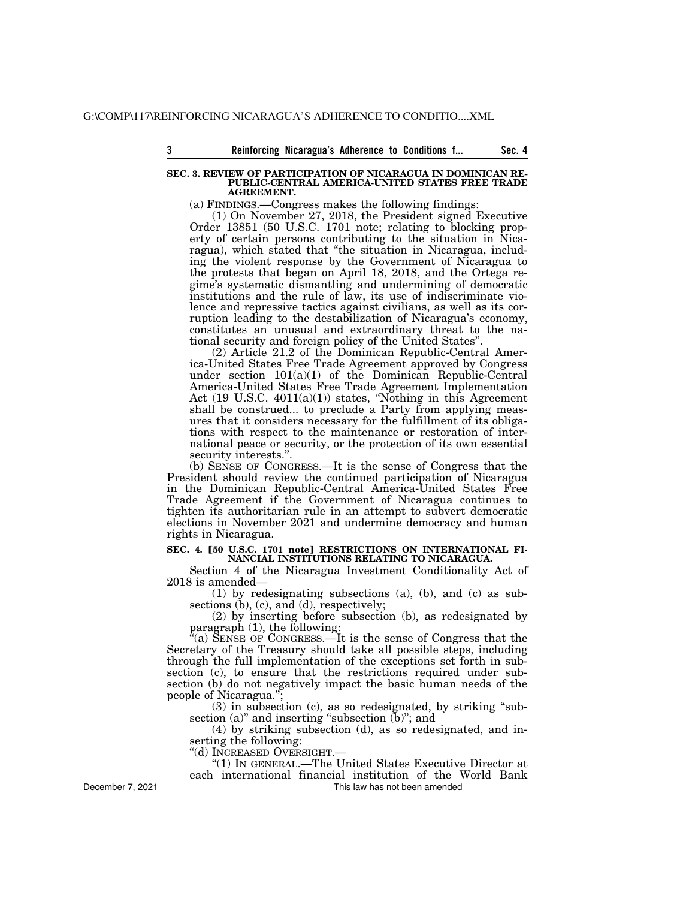**3 Beam** Reinforcing Nicaragua's Adherence to Conditions f... **Sec. 4** 

#### **SEC. 3. REVIEW OF PARTICIPATION OF NICARAGUA IN DOMINICAN RE-PUBLIC-CENTRAL AMERICA-UNITED STATES FREE TRADE AGREEMENT.**

(a) FINDINGS.—Congress makes the following findings:

(1) On November 27, 2018, the President signed Executive Order 13851 (50 U.S.C. 1701 note; relating to blocking property of certain persons contributing to the situation in Nicaragua), which stated that ''the situation in Nicaragua, including the violent response by the Government of Nicaragua to the protests that began on April 18, 2018, and the Ortega regime's systematic dismantling and undermining of democratic institutions and the rule of law, its use of indiscriminate violence and repressive tactics against civilians, as well as its corruption leading to the destabilization of Nicaragua's economy, constitutes an unusual and extraordinary threat to the national security and foreign policy of the United States''.

(2) Article 21.2 of the Dominican Republic-Central America-United States Free Trade Agreement approved by Congress under section 101(a)(1) of the Dominican Republic-Central America-United States Free Trade Agreement Implementation Act (19 U.S.C. 4011(a)(1)) states, ''Nothing in this Agreement shall be construed... to preclude a Party from applying measures that it considers necessary for the fulfillment of its obligations with respect to the maintenance or restoration of international peace or security, or the protection of its own essential security interests.''.

(b) SENSE OF CONGRESS.—It is the sense of Congress that the President should review the continued participation of Nicaragua in the Dominican Republic-Central America-United States Free Trade Agreement if the Government of Nicaragua continues to tighten its authoritarian rule in an attempt to subvert democratic elections in November 2021 and undermine democracy and human rights in Nicaragua.

### SEC. 4. [50 U.S.C. 1701 note] RESTRICTIONS ON INTERNATIONAL FI-**NANCIAL INSTITUTIONS RELATING TO NICARAGUA.**

Section 4 of the Nicaragua Investment Conditionality Act of 2018 is amended—

(1) by redesignating subsections (a), (b), and (c) as subsections (b), (c), and (d), respectively;

(2) by inserting before subsection (b), as redesignated by paragraph (1), the following:

 $\mathbb{F}(a)$  SENSE OF CONGRESS.—It is the sense of Congress that the Secretary of the Treasury should take all possible steps, including through the full implementation of the exceptions set forth in subsection (c), to ensure that the restrictions required under subsection (b) do not negatively impact the basic human needs of the people of Nicaragua.'';

(3) in subsection (c), as so redesignated, by striking ''subsection (a)" and inserting "subsection (b)"; and

(4) by striking subsection (d), as so redesignated, and inserting the following:

''(d) INCREASED OVERSIGHT.—

''(1) IN GENERAL.—The United States Executive Director at each international financial institution of the World Bank

December 7, 2021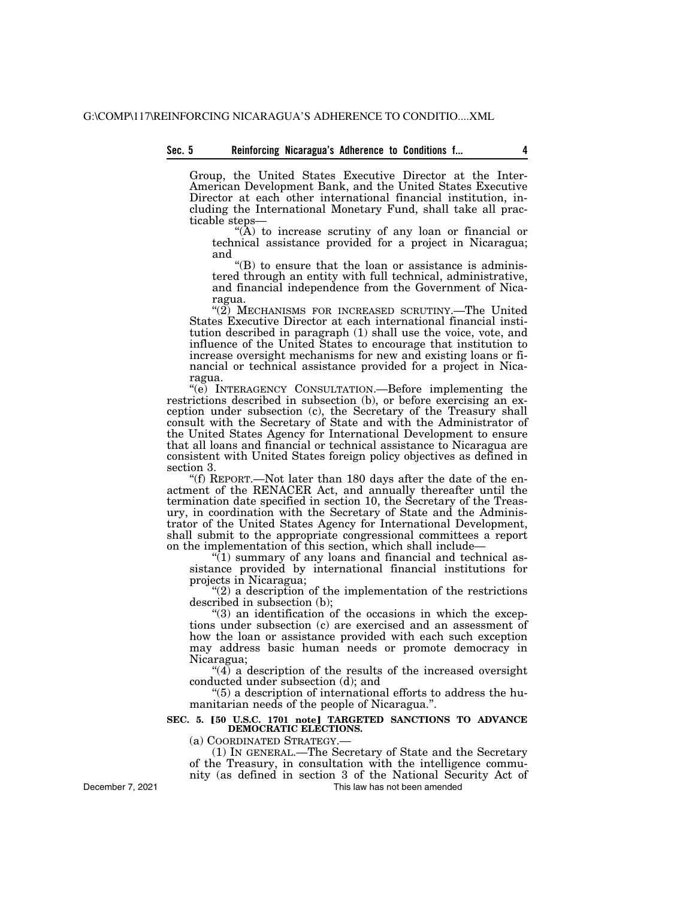# **Sec. 5 Reinforcing Nicaragua's Adherence to Conditions f... 4**

Group, the United States Executive Director at the Inter-American Development Bank, and the United States Executive Director at each other international financial institution, including the International Monetary Fund, shall take all practicable steps—

"(A) to increase scrutiny of any loan or financial or technical assistance provided for a project in Nicaragua; and

 $\mathrm{``(B)}$  to ensure that the loan or assistance is administered through an entity with full technical, administrative, and financial independence from the Government of Nicaragua.

" $(2)$  MECHANISMS FOR INCREASED SCRUTINY.—The United States Executive Director at each international financial institution described in paragraph (1) shall use the voice, vote, and influence of the United States to encourage that institution to increase oversight mechanisms for new and existing loans or financial or technical assistance provided for a project in Nicaragua.

''(e) INTERAGENCY CONSULTATION.—Before implementing the restrictions described in subsection (b), or before exercising an exception under subsection (c), the Secretary of the Treasury shall consult with the Secretary of State and with the Administrator of the United States Agency for International Development to ensure that all loans and financial or technical assistance to Nicaragua are consistent with United States foreign policy objectives as defined in section 3.

''(f) REPORT.—Not later than 180 days after the date of the enactment of the RENACER Act, and annually thereafter until the termination date specified in section 10, the Secretary of the Treasury, in coordination with the Secretary of State and the Administrator of the United States Agency for International Development, shall submit to the appropriate congressional committees a report on the implementation of this section, which shall include—

''(1) summary of any loans and financial and technical assistance provided by international financial institutions for projects in Nicaragua;

" $(2)$  a description of the implementation of the restrictions described in subsection (b);

 $\degree$ (3) an identification of the occasions in which the exceptions under subsection (c) are exercised and an assessment of how the loan or assistance provided with each such exception may address basic human needs or promote democracy in Nicaragua;

 $(4)$  a description of the results of the increased oversight conducted under subsection (d); and

''(5) a description of international efforts to address the humanitarian needs of the people of Nicaragua.''.

## **SEC. 5. [50 U.S.C. 1701 note] TARGETED SANCTIONS TO ADVANCE DEMOCRATIC ELECTIONS.**

(a) COORDINATED STRATEGY.—

(1) IN GENERAL.—The Secretary of State and the Secretary of the Treasury, in consultation with the intelligence community (as defined in section 3 of the National Security Act of This law has not been amended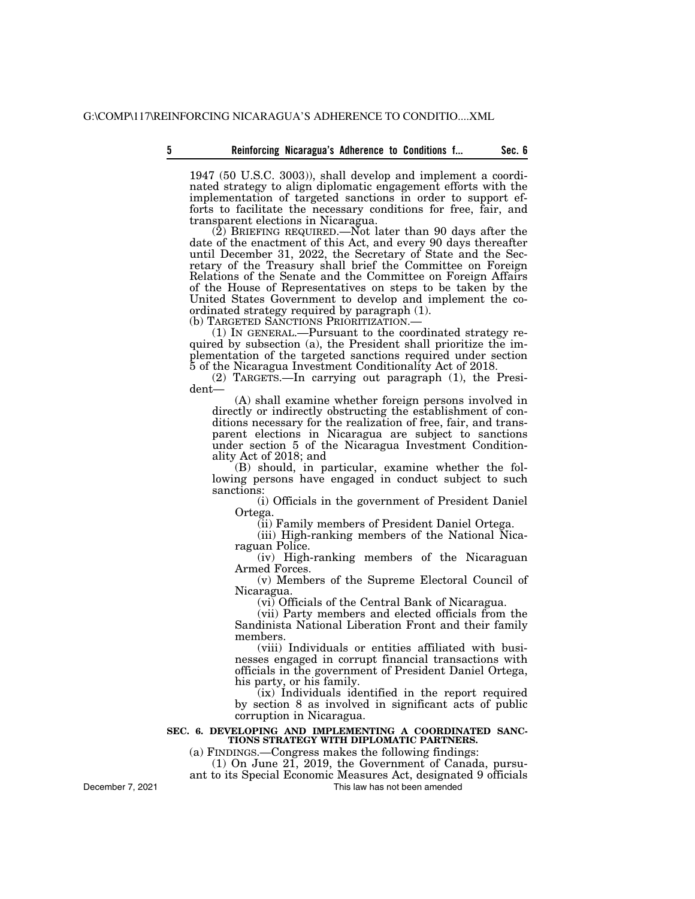1947 (50 U.S.C. 3003)), shall develop and implement a coordinated strategy to align diplomatic engagement efforts with the implementation of targeted sanctions in order to support efforts to facilitate the necessary conditions for free, fair, and transparent elections in Nicaragua.

 $(2)$  BRIEFING REQUIRED.—Not later than 90 days after the date of the enactment of this Act, and every 90 days thereafter until December 31, 2022, the Secretary of State and the Secretary of the Treasury shall brief the Committee on Foreign Relations of the Senate and the Committee on Foreign Affairs of the House of Representatives on steps to be taken by the United States Government to develop and implement the coordinated strategy required by paragraph (1).

(1) IN GENERAL.—Pursuant to the coordinated strategy required by subsection (a), the President shall prioritize the implementation of the targeted sanctions required under section 5 of the Nicaragua Investment Conditionality Act of 2018.

(2) TARGETS.—In carrying out paragraph (1), the President—

(A) shall examine whether foreign persons involved in directly or indirectly obstructing the establishment of conditions necessary for the realization of free, fair, and transparent elections in Nicaragua are subject to sanctions under section 5 of the Nicaragua Investment Conditionality Act of 2018; and

(B) should, in particular, examine whether the following persons have engaged in conduct subject to such sanctions:

(i) Officials in the government of President Daniel Ortega.

(ii) Family members of President Daniel Ortega.

(iii) High-ranking members of the National Nicaraguan Police.

(iv) High-ranking members of the Nicaraguan Armed Forces.

(v) Members of the Supreme Electoral Council of Nicaragua.

(vi) Officials of the Central Bank of Nicaragua.

(vii) Party members and elected officials from the Sandinista National Liberation Front and their family members.

(viii) Individuals or entities affiliated with businesses engaged in corrupt financial transactions with officials in the government of President Daniel Ortega, his party, or his family.

(ix) Individuals identified in the report required by section 8 as involved in significant acts of public corruption in Nicaragua.

#### **SEC. 6. DEVELOPING AND IMPLEMENTING A COORDINATED SANC-TIONS STRATEGY WITH DIPLOMATIC PARTNERS.**

(a) FINDINGS.—Congress makes the following findings:

(1) On June 21, 2019, the Government of Canada, pursu-

ant to its Special Economic Measures Act, designated 9 officials This law has not been amended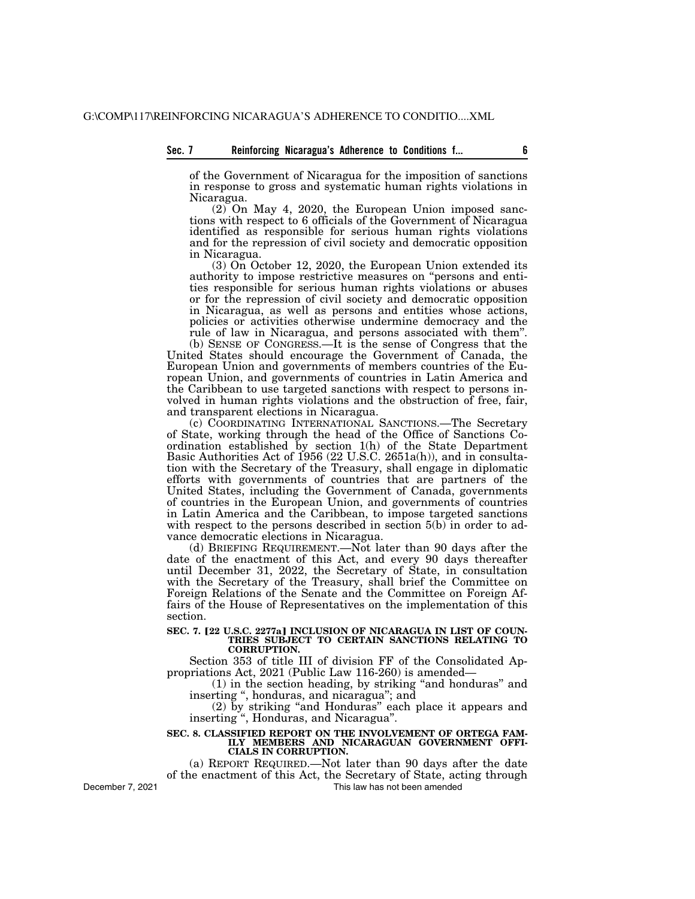## **Sec. 7 Reinforcing Nicaragua's Adherence to Conditions f... 6**

of the Government of Nicaragua for the imposition of sanctions in response to gross and systematic human rights violations in Nicaragua.

(2) On May 4, 2020, the European Union imposed sanctions with respect to 6 officials of the Government of Nicaragua identified as responsible for serious human rights violations and for the repression of civil society and democratic opposition in Nicaragua.

(3) On October 12, 2020, the European Union extended its authority to impose restrictive measures on ''persons and entities responsible for serious human rights violations or abuses or for the repression of civil society and democratic opposition in Nicaragua, as well as persons and entities whose actions, policies or activities otherwise undermine democracy and the rule of law in Nicaragua, and persons associated with them''.

(b) SENSE OF CONGRESS.—It is the sense of Congress that the United States should encourage the Government of Canada, the European Union and governments of members countries of the European Union, and governments of countries in Latin America and the Caribbean to use targeted sanctions with respect to persons involved in human rights violations and the obstruction of free, fair, and transparent elections in Nicaragua.

(c) COORDINATING INTERNATIONAL SANCTIONS.—The Secretary of State, working through the head of the Office of Sanctions Coordination established by section 1(h) of the State Department Basic Authorities Act of 1956 (22 U.S.C. 2651a(h)), and in consultation with the Secretary of the Treasury, shall engage in diplomatic efforts with governments of countries that are partners of the United States, including the Government of Canada, governments of countries in the European Union, and governments of countries in Latin America and the Caribbean, to impose targeted sanctions with respect to the persons described in section 5(b) in order to advance democratic elections in Nicaragua.

(d) BRIEFING REQUIREMENT.—Not later than 90 days after the date of the enactment of this Act, and every 90 days thereafter until December 31, 2022, the Secretary of State, in consultation with the Secretary of the Treasury, shall brief the Committee on Foreign Relations of the Senate and the Committee on Foreign Affairs of the House of Representatives on the implementation of this section.

#### SEC. 7. [22 U.S.C. 2277a] INCLUSION OF NICARAGUA IN LIST OF COUN-**TRIES SUBJECT TO CERTAIN SANCTIONS RELATING TO CORRUPTION.**

Section 353 of title III of division FF of the Consolidated Appropriations Act, 2021 (Public Law 116-260) is amended—

(1) in the section heading, by striking ''and honduras'' and inserting ", honduras, and nicaragua"; and

(2) by striking ''and Honduras'' each place it appears and inserting '', Honduras, and Nicaragua''.

### **SEC. 8. CLASSIFIED REPORT ON THE INVOLVEMENT OF ORTEGA FAM-ILY MEMBERS AND NICARAGUAN GOVERNMENT OFFI-CIALS IN CORRUPTION.**

(a) REPORT REQUIRED.—Not later than 90 days after the date of the enactment of this Act, the Secretary of State, acting through This law has not been amended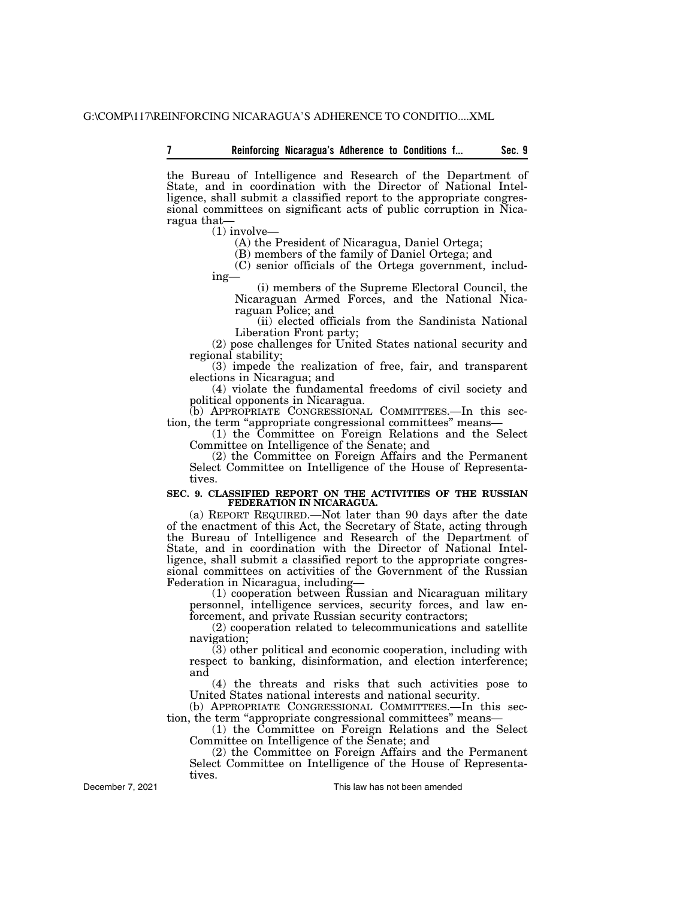the Bureau of Intelligence and Research of the Department of State, and in coordination with the Director of National Intelligence, shall submit a classified report to the appropriate congressional committees on significant acts of public corruption in Nicaragua that—

(1) involve—

(A) the President of Nicaragua, Daniel Ortega;

(B) members of the family of Daniel Ortega; and

(C) senior officials of the Ortega government, including—

(i) members of the Supreme Electoral Council, the Nicaraguan Armed Forces, and the National Nicaraguan Police; and

(ii) elected officials from the Sandinista National Liberation Front party;

(2) pose challenges for United States national security and regional stability;

(3) impede the realization of free, fair, and transparent elections in Nicaragua; and

(4) violate the fundamental freedoms of civil society and political opponents in Nicaragua.

(b) APPROPRIATE CONGRESSIONAL COMMITTEES.—In this section, the term "appropriate congressional committees" means—

(1) the Committee on Foreign Relations and the Select Committee on Intelligence of the Senate; and

(2) the Committee on Foreign Affairs and the Permanent Select Committee on Intelligence of the House of Representatives.

### **SEC. 9. CLASSIFIED REPORT ON THE ACTIVITIES OF THE RUSSIAN FEDERATION IN NICARAGUA.**

(a) REPORT REQUIRED.—Not later than 90 days after the date of the enactment of this Act, the Secretary of State, acting through the Bureau of Intelligence and Research of the Department of State, and in coordination with the Director of National Intelligence, shall submit a classified report to the appropriate congressional committees on activities of the Government of the Russian Federation in Nicaragua, including—

(1) cooperation between Russian and Nicaraguan military personnel, intelligence services, security forces, and law enforcement, and private Russian security contractors;

(2) cooperation related to telecommunications and satellite navigation;

(3) other political and economic cooperation, including with respect to banking, disinformation, and election interference; and

(4) the threats and risks that such activities pose to United States national interests and national security.

(b) APPROPRIATE CONGRESSIONAL COMMITTEES.—In this section, the term ''appropriate congressional committees'' means—

(1) the Committee on Foreign Relations and the Select Committee on Intelligence of the Senate; and

(2) the Committee on Foreign Affairs and the Permanent Select Committee on Intelligence of the House of Representatives.

December 7, 2021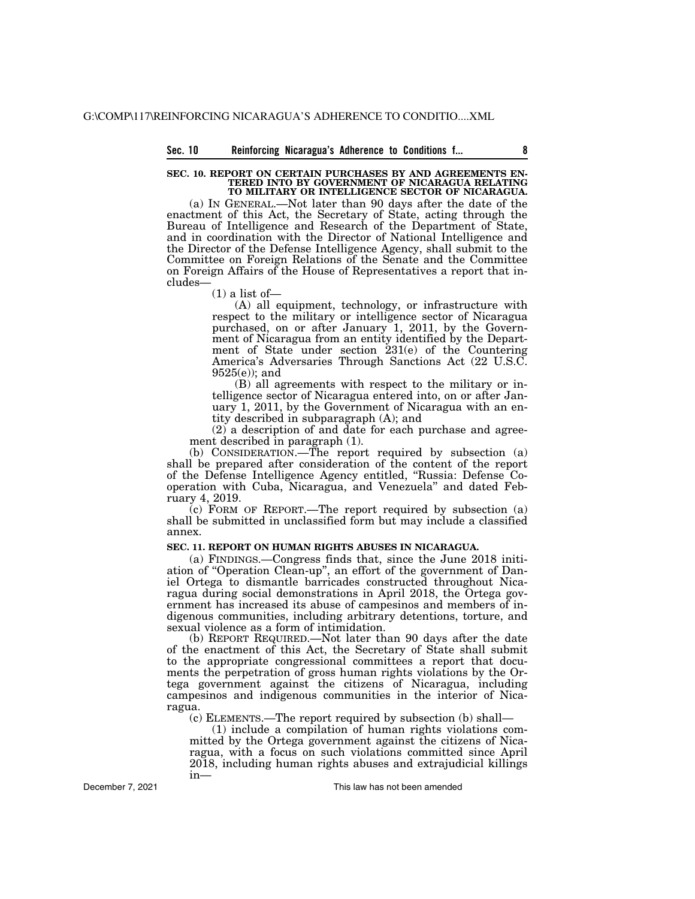#### **SEC. 10. REPORT ON CERTAIN PURCHASES BY AND AGREEMENTS EN-TERED INTO BY GOVERNMENT OF NICARAGUA RELATING TO MILITARY OR INTELLIGENCE SECTOR OF NICARAGUA.**

(a) IN GENERAL.—Not later than 90 days after the date of the enactment of this Act, the Secretary of State, acting through the Bureau of Intelligence and Research of the Department of State, and in coordination with the Director of National Intelligence and the Director of the Defense Intelligence Agency, shall submit to the Committee on Foreign Relations of the Senate and the Committee on Foreign Affairs of the House of Representatives a report that includes—

 $(1)$  a list of —

(A) all equipment, technology, or infrastructure with respect to the military or intelligence sector of Nicaragua purchased, on or after January 1, 2011, by the Government of Nicaragua from an entity identified by the Department of State under section 231(e) of the Countering America's Adversaries Through Sanctions Act (22 U.S.C. 9525(e)); and

(B) all agreements with respect to the military or intelligence sector of Nicaragua entered into, on or after January 1, 2011, by the Government of Nicaragua with an entity described in subparagraph (A); and

(2) a description of and date for each purchase and agreement described in paragraph (1).

(b) CONSIDERATION.—The report required by subsection (a) shall be prepared after consideration of the content of the report of the Defense Intelligence Agency entitled, ''Russia: Defense Cooperation with Cuba, Nicaragua, and Venezuela'' and dated February 4, 2019.

(c) FORM OF REPORT.—The report required by subsection (a) shall be submitted in unclassified form but may include a classified annex.

### **SEC. 11. REPORT ON HUMAN RIGHTS ABUSES IN NICARAGUA.**

(a) FINDINGS.—Congress finds that, since the June 2018 initiation of ''Operation Clean-up'', an effort of the government of Daniel Ortega to dismantle barricades constructed throughout Nicaragua during social demonstrations in April 2018, the Ortega government has increased its abuse of campesinos and members of indigenous communities, including arbitrary detentions, torture, and sexual violence as a form of intimidation.

(b) REPORT REQUIRED.—Not later than 90 days after the date of the enactment of this Act, the Secretary of State shall submit to the appropriate congressional committees a report that documents the perpetration of gross human rights violations by the Ortega government against the citizens of Nicaragua, including campesinos and indigenous communities in the interior of Nicaragua.

(c) ELEMENTS.—The report required by subsection (b) shall—

(1) include a compilation of human rights violations committed by the Ortega government against the citizens of Nicaragua, with a focus on such violations committed since April 2018, including human rights abuses and extrajudicial killings in—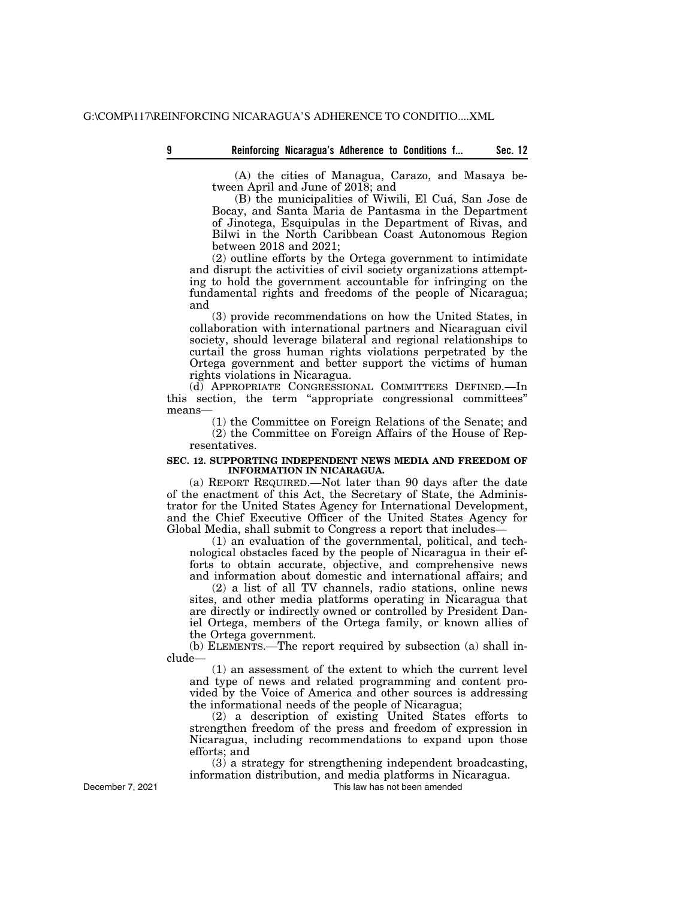(A) the cities of Managua, Carazo, and Masaya between April and June of 2018; and

(B) the municipalities of Wiwili, El Cua´, San Jose de Bocay, and Santa Maria de Pantasma in the Department of Jinotega, Esquipulas in the Department of Rivas, and Bilwi in the North Caribbean Coast Autonomous Region between 2018 and 2021;

(2) outline efforts by the Ortega government to intimidate and disrupt the activities of civil society organizations attempting to hold the government accountable for infringing on the fundamental rights and freedoms of the people of Nicaragua; and

(3) provide recommendations on how the United States, in collaboration with international partners and Nicaraguan civil society, should leverage bilateral and regional relationships to curtail the gross human rights violations perpetrated by the Ortega government and better support the victims of human rights violations in Nicaragua.

(d) APPROPRIATE CONGRESSIONAL COMMITTEES DEFINED.—In this section, the term ''appropriate congressional committees'' means—

(1) the Committee on Foreign Relations of the Senate; and (2) the Committee on Foreign Affairs of the House of Representatives.

### **SEC. 12. SUPPORTING INDEPENDENT NEWS MEDIA AND FREEDOM OF INFORMATION IN NICARAGUA.**

(a) REPORT REQUIRED.—Not later than 90 days after the date of the enactment of this Act, the Secretary of State, the Administrator for the United States Agency for International Development, and the Chief Executive Officer of the United States Agency for Global Media, shall submit to Congress a report that includes—

(1) an evaluation of the governmental, political, and technological obstacles faced by the people of Nicaragua in their efforts to obtain accurate, objective, and comprehensive news and information about domestic and international affairs; and

(2) a list of all TV channels, radio stations, online news sites, and other media platforms operating in Nicaragua that are directly or indirectly owned or controlled by President Daniel Ortega, members of the Ortega family, or known allies of the Ortega government.

(b) ELEMENTS.—The report required by subsection (a) shall include—

(1) an assessment of the extent to which the current level and type of news and related programming and content provided by the Voice of America and other sources is addressing the informational needs of the people of Nicaragua;

(2) a description of existing United States efforts to strengthen freedom of the press and freedom of expression in Nicaragua, including recommendations to expand upon those efforts; and

(3) a strategy for strengthening independent broadcasting, information distribution, and media platforms in Nicaragua.

This law has not been amended